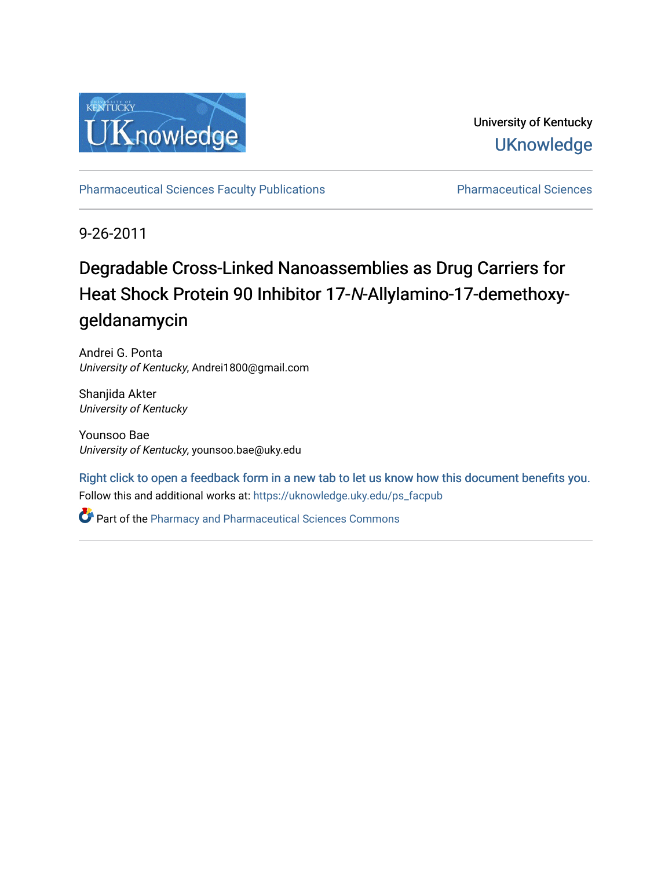

University of Kentucky **UKnowledge** 

[Pharmaceutical Sciences Faculty Publications](https://uknowledge.uky.edu/ps_facpub) **Pharmaceutical Sciences** 

9-26-2011

# Degradable Cross-Linked Nanoassemblies as Drug Carriers for Heat Shock Protein 90 Inhibitor 17-N-Allylamino-17-demethoxygeldanamycin

Andrei G. Ponta University of Kentucky, Andrei1800@gmail.com

Shanjida Akter University of Kentucky

Younsoo Bae University of Kentucky, younsoo.bae@uky.edu

Follow this and additional works at: [https://uknowledge.uky.edu/ps\\_facpub](https://uknowledge.uky.edu/ps_facpub?utm_source=uknowledge.uky.edu%2Fps_facpub%2F32&utm_medium=PDF&utm_campaign=PDFCoverPages)  [Right click to open a feedback form in a new tab to let us know how this document benefits you.](https://uky.az1.qualtrics.com/jfe/form/SV_9mq8fx2GnONRfz7)

Part of the [Pharmacy and Pharmaceutical Sciences Commons](http://network.bepress.com/hgg/discipline/731?utm_source=uknowledge.uky.edu%2Fps_facpub%2F32&utm_medium=PDF&utm_campaign=PDFCoverPages)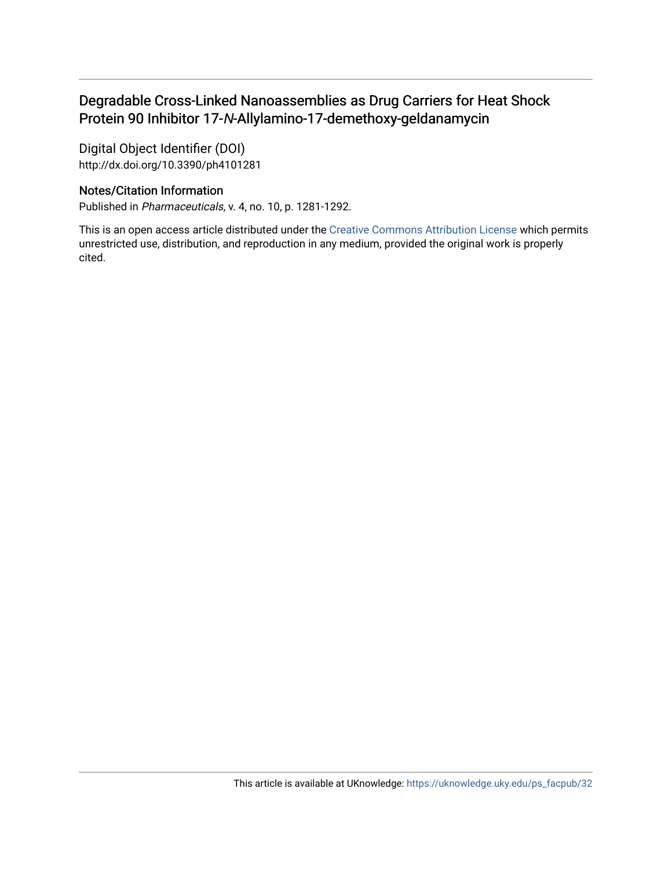# Degradable Cross-Linked Nanoassemblies as Drug Carriers for Heat Shock Protein 90 Inhibitor 17-N-Allylamino-17-demethoxy-geldanamycin

Digital Object Identifier (DOI) http://dx.doi.org/10.3390/ph4101281

# Notes/Citation Information

Published in Pharmaceuticals, v. 4, no. 10, p. 1281-1292.

This is an open access article distributed under the [Creative Commons Attribution License](http://creativecommons.org/licenses/by/3.0/) which permits unrestricted use, distribution, and reproduction in any medium, provided the original work is properly cited.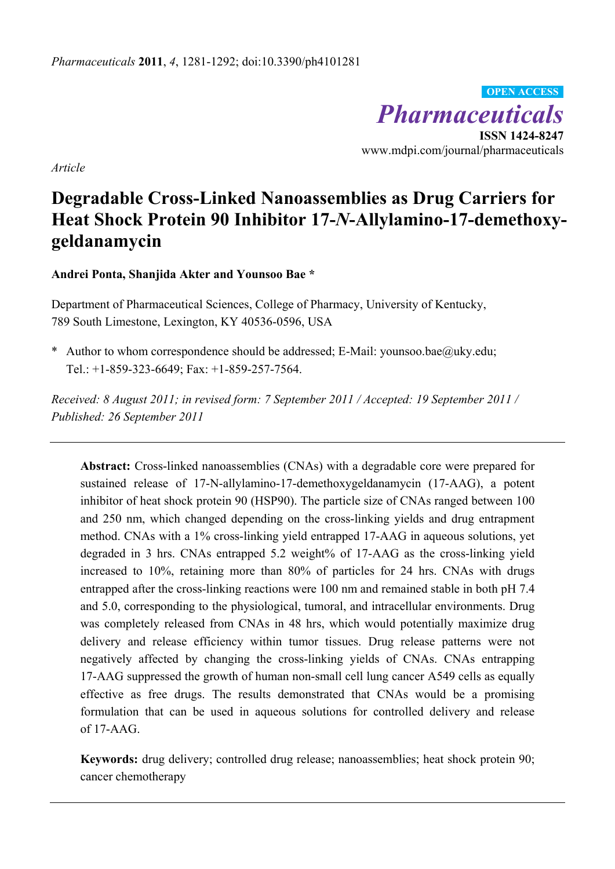*Pharmaceuticals*  **ISSN 1424-8247**  www.mdpi.com/journal/pharmaceuticals **OPEN ACCESS**

*Article* 

# **Degradable Cross-Linked Nanoassemblies as Drug Carriers for Heat Shock Protein 90 Inhibitor 17-***N***-Allylamino-17-demethoxygeldanamycin**

**Andrei Ponta, Shanjida Akter and Younsoo Bae \*** 

Department of Pharmaceutical Sciences, College of Pharmacy, University of Kentucky, 789 South Limestone, Lexington, KY 40536-0596, USA

\* Author to whom correspondence should be addressed; E-Mail: younsoo.bae@uky.edu; Tel.: +1-859-323-6649; Fax: +1-859-257-7564.

*Received: 8 August 2011; in revised form: 7 September 2011 / Accepted: 19 September 2011 / Published: 26 September 2011* 

**Abstract:** Cross-linked nanoassemblies (CNAs) with a degradable core were prepared for sustained release of 17-N-allylamino-17-demethoxygeldanamycin (17-AAG), a potent inhibitor of heat shock protein 90 (HSP90). The particle size of CNAs ranged between 100 and 250 nm, which changed depending on the cross-linking yields and drug entrapment method. CNAs with a 1% cross-linking yield entrapped 17-AAG in aqueous solutions, yet degraded in 3 hrs. CNAs entrapped 5.2 weight% of 17-AAG as the cross-linking yield increased to 10%, retaining more than 80% of particles for 24 hrs. CNAs with drugs entrapped after the cross-linking reactions were 100 nm and remained stable in both pH 7.4 and 5.0, corresponding to the physiological, tumoral, and intracellular environments. Drug was completely released from CNAs in 48 hrs, which would potentially maximize drug delivery and release efficiency within tumor tissues. Drug release patterns were not negatively affected by changing the cross-linking yields of CNAs. CNAs entrapping 17-AAG suppressed the growth of human non-small cell lung cancer A549 cells as equally effective as free drugs. The results demonstrated that CNAs would be a promising formulation that can be used in aqueous solutions for controlled delivery and release of 17-AAG.

**Keywords:** drug delivery; controlled drug release; nanoassemblies; heat shock protein 90; cancer chemotherapy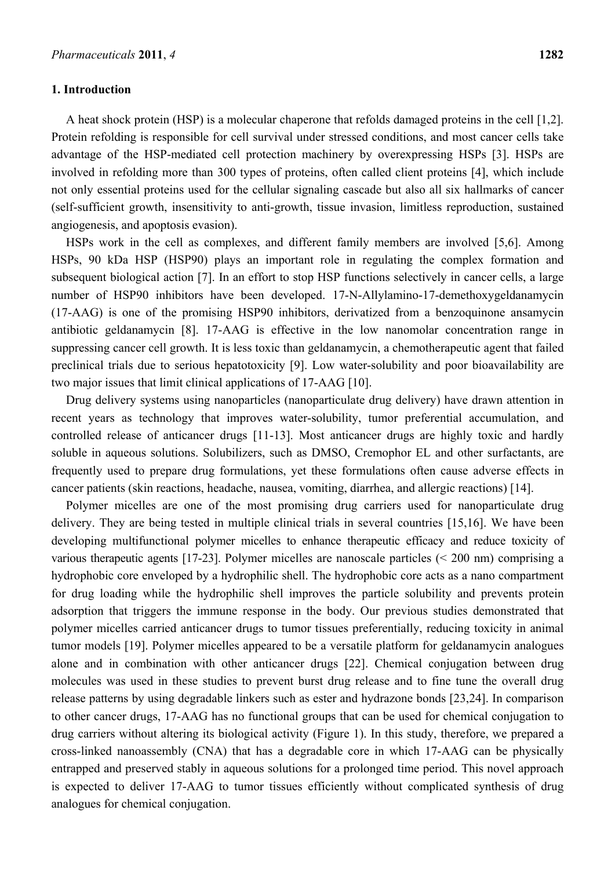# **1. Introduction**

A heat shock protein (HSP) is a molecular chaperone that refolds damaged proteins in the cell [1,2]. Protein refolding is responsible for cell survival under stressed conditions, and most cancer cells take advantage of the HSP-mediated cell protection machinery by overexpressing HSPs [3]. HSPs are involved in refolding more than 300 types of proteins, often called client proteins [4], which include not only essential proteins used for the cellular signaling cascade but also all six hallmarks of cancer (self-sufficient growth, insensitivity to anti-growth, tissue invasion, limitless reproduction, sustained angiogenesis, and apoptosis evasion).

HSPs work in the cell as complexes, and different family members are involved [5,6]. Among HSPs, 90 kDa HSP (HSP90) plays an important role in regulating the complex formation and subsequent biological action [7]. In an effort to stop HSP functions selectively in cancer cells, a large number of HSP90 inhibitors have been developed. 17-N-Allylamino-17-demethoxygeldanamycin (17-AAG) is one of the promising HSP90 inhibitors, derivatized from a benzoquinone ansamycin antibiotic geldanamycin [8]. 17-AAG is effective in the low nanomolar concentration range in suppressing cancer cell growth. It is less toxic than geldanamycin, a chemotherapeutic agent that failed preclinical trials due to serious hepatotoxicity [9]. Low water-solubility and poor bioavailability are two major issues that limit clinical applications of 17-AAG [10].

Drug delivery systems using nanoparticles (nanoparticulate drug delivery) have drawn attention in recent years as technology that improves water-solubility, tumor preferential accumulation, and controlled release of anticancer drugs [11-13]. Most anticancer drugs are highly toxic and hardly soluble in aqueous solutions. Solubilizers, such as DMSO, Cremophor EL and other surfactants, are frequently used to prepare drug formulations, yet these formulations often cause adverse effects in cancer patients (skin reactions, headache, nausea, vomiting, diarrhea, and allergic reactions) [14].

Polymer micelles are one of the most promising drug carriers used for nanoparticulate drug delivery. They are being tested in multiple clinical trials in several countries [15,16]. We have been developing multifunctional polymer micelles to enhance therapeutic efficacy and reduce toxicity of various therapeutic agents [17-23]. Polymer micelles are nanoscale particles (< 200 nm) comprising a hydrophobic core enveloped by a hydrophilic shell. The hydrophobic core acts as a nano compartment for drug loading while the hydrophilic shell improves the particle solubility and prevents protein adsorption that triggers the immune response in the body. Our previous studies demonstrated that polymer micelles carried anticancer drugs to tumor tissues preferentially, reducing toxicity in animal tumor models [19]. Polymer micelles appeared to be a versatile platform for geldanamycin analogues alone and in combination with other anticancer drugs [22]. Chemical conjugation between drug molecules was used in these studies to prevent burst drug release and to fine tune the overall drug release patterns by using degradable linkers such as ester and hydrazone bonds [23,24]. In comparison to other cancer drugs, 17-AAG has no functional groups that can be used for chemical conjugation to drug carriers without altering its biological activity (Figure 1). In this study, therefore, we prepared a cross-linked nanoassembly (CNA) that has a degradable core in which 17-AAG can be physically entrapped and preserved stably in aqueous solutions for a prolonged time period. This novel approach is expected to deliver 17-AAG to tumor tissues efficiently without complicated synthesis of drug analogues for chemical conjugation.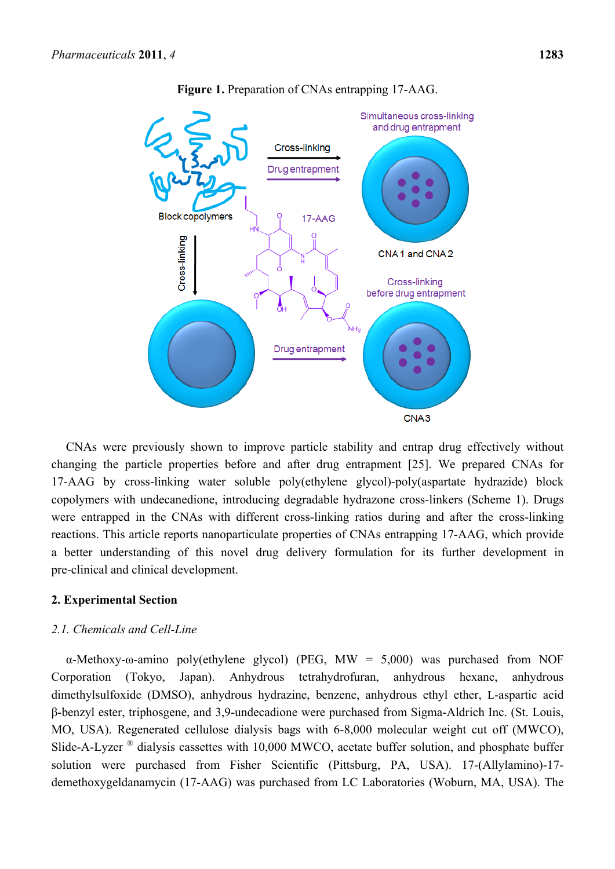

**Figure 1.** Preparation of CNAs entrapping 17-AAG.

CNAs were previously shown to improve particle stability and entrap drug effectively without changing the particle properties before and after drug entrapment [25]. We prepared CNAs for 17-AAG by cross-linking water soluble poly(ethylene glycol)-poly(aspartate hydrazide) block copolymers with undecanedione, introducing degradable hydrazone cross-linkers (Scheme 1). Drugs were entrapped in the CNAs with different cross-linking ratios during and after the cross-linking reactions. This article reports nanoparticulate properties of CNAs entrapping 17-AAG, which provide a better understanding of this novel drug delivery formulation for its further development in pre-clinical and clinical development.

# **2. Experimental Section**

# *2.1. Chemicals and Cell-Line*

α-Methoxy-ω-amino poly(ethylene glycol) (PEG, MW = 5,000) was purchased from NOF Corporation (Tokyo, Japan). Anhydrous tetrahydrofuran, anhydrous hexane, anhydrous dimethylsulfoxide (DMSO), anhydrous hydrazine, benzene, anhydrous ethyl ether, L-aspartic acid β-benzyl ester, triphosgene, and 3,9-undecadione were purchased from Sigma-Aldrich Inc. (St. Louis, MO, USA). Regenerated cellulose dialysis bags with 6-8,000 molecular weight cut off (MWCO), Slide-A-Lyzer ® dialysis cassettes with 10,000 MWCO, acetate buffer solution, and phosphate buffer solution were purchased from Fisher Scientific (Pittsburg, PA, USA). 17-(Allylamino)-17 demethoxygeldanamycin (17-AAG) was purchased from LC Laboratories (Woburn, MA, USA). The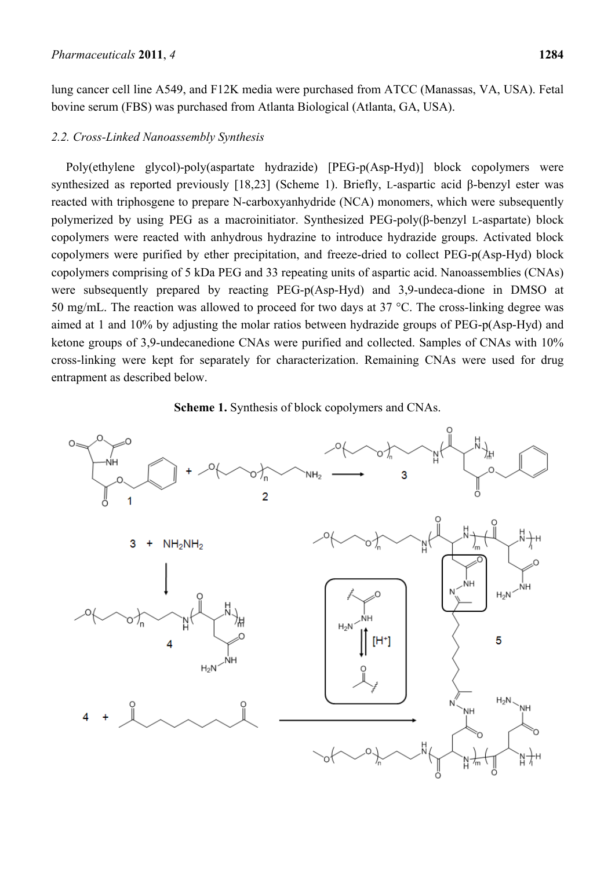lung cancer cell line A549, and F12K media were purchased from ATCC (Manassas, VA, USA). Fetal bovine serum (FBS) was purchased from Atlanta Biological (Atlanta, GA, USA).

#### *2.2. Cross-Linked Nanoassembly Synthesis*

Poly(ethylene glycol)-poly(aspartate hydrazide) [PEG-p(Asp-Hyd)] block copolymers were synthesized as reported previously [18,23] (Scheme 1). Briefly, L-aspartic acid β-benzyl ester was reacted with triphosgene to prepare N-carboxyanhydride (NCA) monomers, which were subsequently polymerized by using PEG as a macroinitiator. Synthesized PEG-poly(β-benzyl L-aspartate) block copolymers were reacted with anhydrous hydrazine to introduce hydrazide groups. Activated block copolymers were purified by ether precipitation, and freeze-dried to collect PEG-p(Asp-Hyd) block copolymers comprising of 5 kDa PEG and 33 repeating units of aspartic acid. Nanoassemblies (CNAs) were subsequently prepared by reacting PEG-p(Asp-Hyd) and 3,9-undeca-dione in DMSO at 50 mg/mL. The reaction was allowed to proceed for two days at 37 °C. The cross-linking degree was aimed at 1 and 10% by adjusting the molar ratios between hydrazide groups of PEG-p(Asp-Hyd) and ketone groups of 3,9-undecanedione CNAs were purified and collected. Samples of CNAs with 10% cross-linking were kept for separately for characterization. Remaining CNAs were used for drug entrapment as described below.



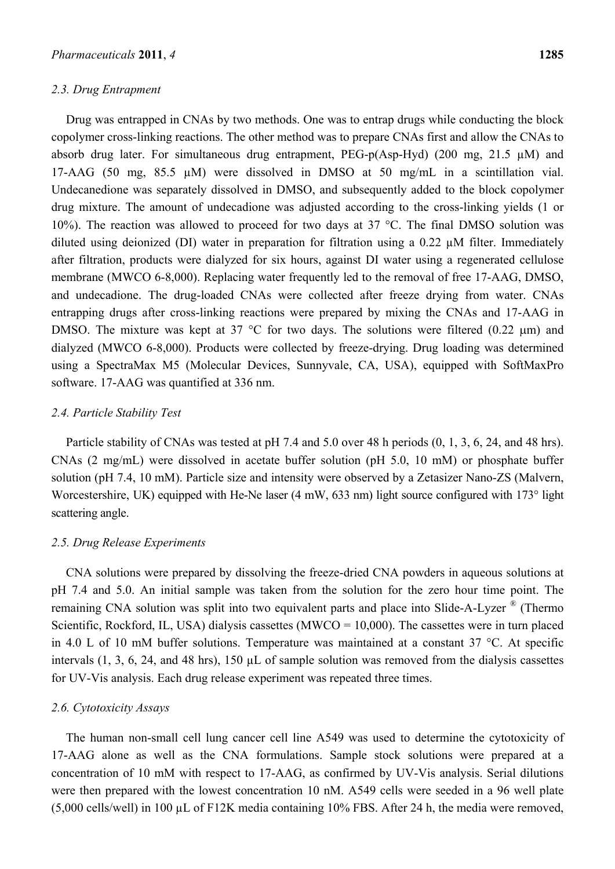#### *2.3. Drug Entrapment*

Drug was entrapped in CNAs by two methods. One was to entrap drugs while conducting the block copolymer cross-linking reactions. The other method was to prepare CNAs first and allow the CNAs to absorb drug later. For simultaneous drug entrapment, PEG-p(Asp-Hyd) (200 mg, 21.5 µM) and 17-AAG (50 mg, 85.5 µM) were dissolved in DMSO at 50 mg/mL in a scintillation vial. Undecanedione was separately dissolved in DMSO, and subsequently added to the block copolymer drug mixture. The amount of undecadione was adjusted according to the cross-linking yields (1 or 10%). The reaction was allowed to proceed for two days at  $37 \text{ °C}$ . The final DMSO solution was diluted using deionized (DI) water in preparation for filtration using a 0.22 µM filter. Immediately after filtration, products were dialyzed for six hours, against DI water using a regenerated cellulose membrane (MWCO 6-8,000). Replacing water frequently led to the removal of free 17-AAG, DMSO, and undecadione. The drug-loaded CNAs were collected after freeze drying from water. CNAs entrapping drugs after cross-linking reactions were prepared by mixing the CNAs and 17-AAG in DMSO. The mixture was kept at 37 °C for two days. The solutions were filtered (0.22  $\mu$ m) and dialyzed (MWCO 6-8,000). Products were collected by freeze-drying. Drug loading was determined using a SpectraMax M5 (Molecular Devices, Sunnyvale, CA, USA), equipped with SoftMaxPro software. 17-AAG was quantified at 336 nm.

# *2.4. Particle Stability Test*

Particle stability of CNAs was tested at pH 7.4 and 5.0 over 48 h periods (0, 1, 3, 6, 24, and 48 hrs). CNAs (2 mg/mL) were dissolved in acetate buffer solution (pH 5.0, 10 mM) or phosphate buffer solution (pH 7.4, 10 mM). Particle size and intensity were observed by a Zetasizer Nano-ZS (Malvern, Worcestershire, UK) equipped with He-Ne laser (4 mW, 633 nm) light source configured with 173° light scattering angle.

#### *2.5. Drug Release Experiments*

CNA solutions were prepared by dissolving the freeze-dried CNA powders in aqueous solutions at pH 7.4 and 5.0. An initial sample was taken from the solution for the zero hour time point. The remaining CNA solution was split into two equivalent parts and place into Slide-A-Lyzer ® (Thermo Scientific, Rockford, IL, USA) dialysis cassettes (MWCO =  $10,000$ ). The cassettes were in turn placed in 4.0 L of 10 mM buffer solutions. Temperature was maintained at a constant 37 °C. At specific intervals (1, 3, 6, 24, and 48 hrs), 150 µL of sample solution was removed from the dialysis cassettes for UV-Vis analysis. Each drug release experiment was repeated three times.

# *2.6. Cytotoxicity Assays*

The human non-small cell lung cancer cell line A549 was used to determine the cytotoxicity of 17-AAG alone as well as the CNA formulations. Sample stock solutions were prepared at a concentration of 10 mM with respect to 17-AAG, as confirmed by UV-Vis analysis. Serial dilutions were then prepared with the lowest concentration 10 nM. A549 cells were seeded in a 96 well plate (5,000 cells/well) in 100 µL of F12K media containing 10% FBS. After 24 h, the media were removed,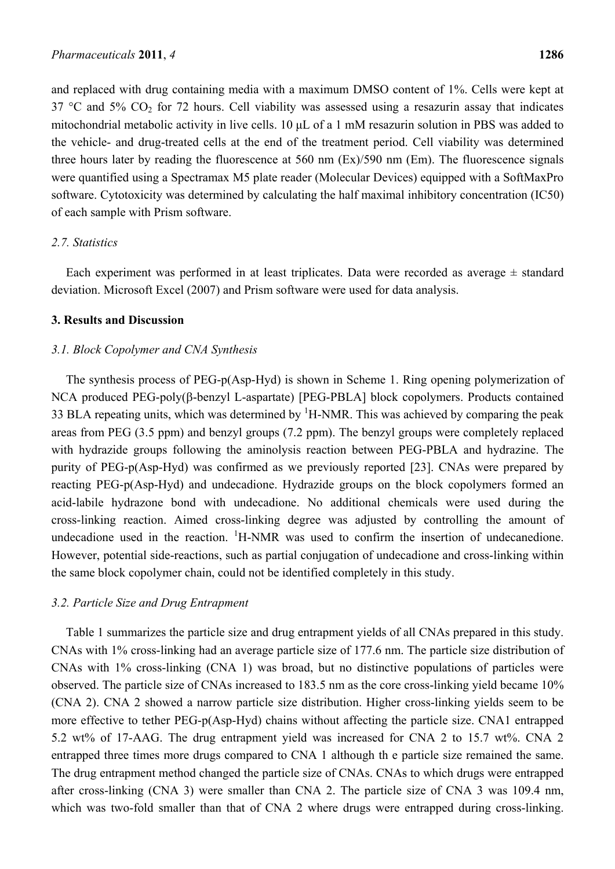and replaced with drug containing media with a maximum DMSO content of 1%. Cells were kept at 37 °C and 5%  $CO<sub>2</sub>$  for 72 hours. Cell viability was assessed using a resazurin assay that indicates mitochondrial metabolic activity in live cells. 10 μL of a 1 mM resazurin solution in PBS was added to the vehicle- and drug-treated cells at the end of the treatment period. Cell viability was determined three hours later by reading the fluorescence at 560 nm (Ex)/590 nm (Em). The fluorescence signals were quantified using a Spectramax M5 plate reader (Molecular Devices) equipped with a SoftMaxPro software. Cytotoxicity was determined by calculating the half maximal inhibitory concentration (IC50) of each sample with Prism software.

# *2.7. Statistics*

Each experiment was performed in at least triplicates. Data were recorded as average  $\pm$  standard deviation. Microsoft Excel (2007) and Prism software were used for data analysis.

#### **3. Results and Discussion**

# *3.1. Block Copolymer and CNA Synthesis*

The synthesis process of PEG-p(Asp-Hyd) is shown in Scheme 1. Ring opening polymerization of NCA produced PEG-poly(β-benzyl L-aspartate) [PEG-PBLA] block copolymers. Products contained 33 BLA repeating units, which was determined by  ${}^{1}$ H-NMR. This was achieved by comparing the peak areas from PEG (3.5 ppm) and benzyl groups (7.2 ppm). The benzyl groups were completely replaced with hydrazide groups following the aminolysis reaction between PEG-PBLA and hydrazine. The purity of PEG-p(Asp-Hyd) was confirmed as we previously reported [23]. CNAs were prepared by reacting PEG-p(Asp-Hyd) and undecadione. Hydrazide groups on the block copolymers formed an acid-labile hydrazone bond with undecadione. No additional chemicals were used during the cross-linking reaction. Aimed cross-linking degree was adjusted by controlling the amount of undecadione used in the reaction.  ${}^{1}H$ -NMR was used to confirm the insertion of undecanedione. However, potential side-reactions, such as partial conjugation of undecadione and cross-linking within the same block copolymer chain, could not be identified completely in this study.

#### *3.2. Particle Size and Drug Entrapment*

Table 1 summarizes the particle size and drug entrapment yields of all CNAs prepared in this study. CNAs with 1% cross-linking had an average particle size of 177.6 nm. The particle size distribution of CNAs with 1% cross-linking (CNA 1) was broad, but no distinctive populations of particles were observed. The particle size of CNAs increased to 183.5 nm as the core cross-linking yield became 10% (CNA 2). CNA 2 showed a narrow particle size distribution. Higher cross-linking yields seem to be more effective to tether PEG-p(Asp-Hyd) chains without affecting the particle size. CNA1 entrapped 5.2 wt% of 17-AAG. The drug entrapment yield was increased for CNA 2 to 15.7 wt%. CNA 2 entrapped three times more drugs compared to CNA 1 although th e particle size remained the same. The drug entrapment method changed the particle size of CNAs. CNAs to which drugs were entrapped after cross-linking (CNA 3) were smaller than CNA 2. The particle size of CNA 3 was 109.4 nm, which was two-fold smaller than that of CNA 2 where drugs were entrapped during cross-linking.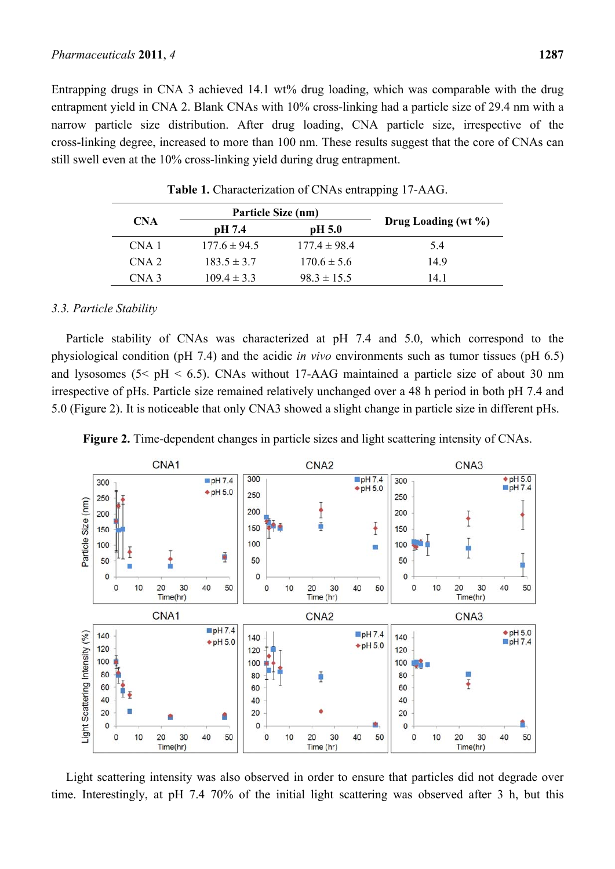Entrapping drugs in CNA 3 achieved 14.1 wt% drug loading, which was comparable with the drug entrapment yield in CNA 2. Blank CNAs with 10% cross-linking had a particle size of 29.4 nm with a narrow particle size distribution. After drug loading, CNA particle size, irrespective of the cross-linking degree, increased to more than 100 nm. These results suggest that the core of CNAs can still swell even at the 10% cross-linking yield during drug entrapment.

| <b>CNA</b>       | Particle Size (nm) |                  |                     |
|------------------|--------------------|------------------|---------------------|
|                  | pH 7.4             | pH 5.0           | Drug Loading (wt %) |
| CNA 1            | $177.6 \pm 94.5$   | $177.4 \pm 98.4$ | 5.4                 |
| CNA <sub>2</sub> | $183.5 \pm 3.7$    | $170.6 \pm 5.6$  | 149                 |
| CNA 3            | $109.4 \pm 3.3$    | $98.3 \pm 15.5$  | 14 1                |

**Table 1.** Characterization of CNAs entrapping 17-AAG.

# *3.3. Particle Stability*

Particle stability of CNAs was characterized at pH 7.4 and 5.0, which correspond to the physiological condition (pH 7.4) and the acidic *in vivo* environments such as tumor tissues (pH 6.5) and lysosomes  $(5 < pH < 6.5)$ . CNAs without 17-AAG maintained a particle size of about 30 nm irrespective of pHs. Particle size remained relatively unchanged over a 48 h period in both pH 7.4 and 5.0 (Figure 2). It is noticeable that only CNA3 showed a slight change in particle size in different pHs.



**Figure 2.** Time-dependent changes in particle sizes and light scattering intensity of CNAs.

Light scattering intensity was also observed in order to ensure that particles did not degrade over time. Interestingly, at pH 7.4 70% of the initial light scattering was observed after 3 h, but this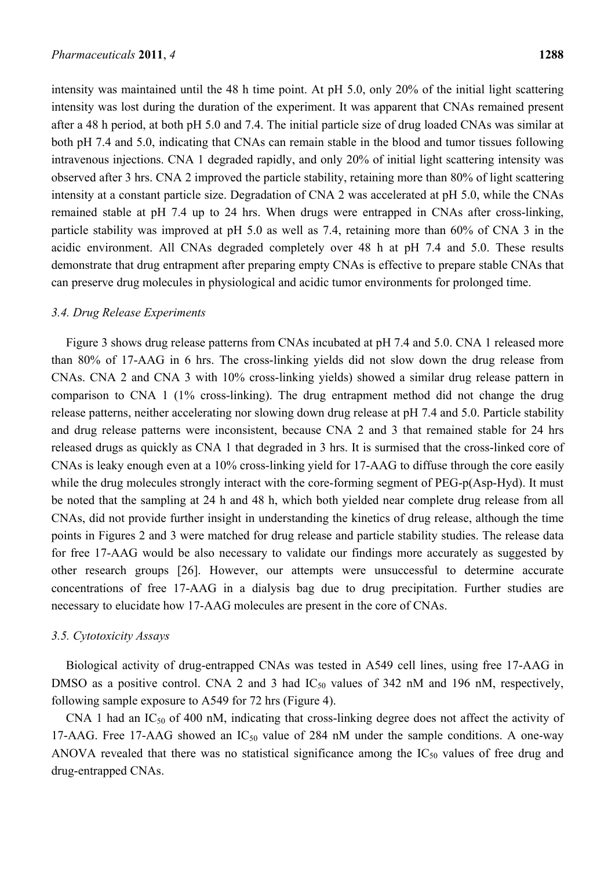intensity was maintained until the 48 h time point. At pH 5.0, only 20% of the initial light scattering intensity was lost during the duration of the experiment. It was apparent that CNAs remained present after a 48 h period, at both pH 5.0 and 7.4. The initial particle size of drug loaded CNAs was similar at both pH 7.4 and 5.0, indicating that CNAs can remain stable in the blood and tumor tissues following intravenous injections. CNA 1 degraded rapidly, and only 20% of initial light scattering intensity was observed after 3 hrs. CNA 2 improved the particle stability, retaining more than 80% of light scattering intensity at a constant particle size. Degradation of CNA 2 was accelerated at pH 5.0, while the CNAs remained stable at pH 7.4 up to 24 hrs. When drugs were entrapped in CNAs after cross-linking, particle stability was improved at pH 5.0 as well as 7.4, retaining more than 60% of CNA 3 in the acidic environment. All CNAs degraded completely over 48 h at pH 7.4 and 5.0. These results demonstrate that drug entrapment after preparing empty CNAs is effective to prepare stable CNAs that can preserve drug molecules in physiological and acidic tumor environments for prolonged time.

#### *3.4. Drug Release Experiments*

Figure 3 shows drug release patterns from CNAs incubated at pH 7.4 and 5.0. CNA 1 released more than 80% of 17-AAG in 6 hrs. The cross-linking yields did not slow down the drug release from CNAs. CNA 2 and CNA 3 with 10% cross-linking yields) showed a similar drug release pattern in comparison to CNA 1 (1% cross-linking). The drug entrapment method did not change the drug release patterns, neither accelerating nor slowing down drug release at pH 7.4 and 5.0. Particle stability and drug release patterns were inconsistent, because CNA 2 and 3 that remained stable for 24 hrs released drugs as quickly as CNA 1 that degraded in 3 hrs. It is surmised that the cross-linked core of CNAs is leaky enough even at a 10% cross-linking yield for 17-AAG to diffuse through the core easily while the drug molecules strongly interact with the core-forming segment of PEG-p(Asp-Hyd). It must be noted that the sampling at 24 h and 48 h, which both yielded near complete drug release from all CNAs, did not provide further insight in understanding the kinetics of drug release, although the time points in Figures 2 and 3 were matched for drug release and particle stability studies. The release data for free 17-AAG would be also necessary to validate our findings more accurately as suggested by other research groups [26]. However, our attempts were unsuccessful to determine accurate concentrations of free 17-AAG in a dialysis bag due to drug precipitation. Further studies are necessary to elucidate how 17-AAG molecules are present in the core of CNAs.

#### *3.5. Cytotoxicity Assays*

Biological activity of drug-entrapped CNAs was tested in A549 cell lines, using free 17-AAG in DMSO as a positive control. CNA 2 and 3 had  $IC_{50}$  values of 342 nM and 196 nM, respectively, following sample exposure to A549 for 72 hrs (Figure 4).

CNA 1 had an  $IC_{50}$  of 400 nM, indicating that cross-linking degree does not affect the activity of 17-AAG. Free 17-AAG showed an  $IC_{50}$  value of 284 nM under the sample conditions. A one-way ANOVA revealed that there was no statistical significance among the  $IC_{50}$  values of free drug and drug-entrapped CNAs.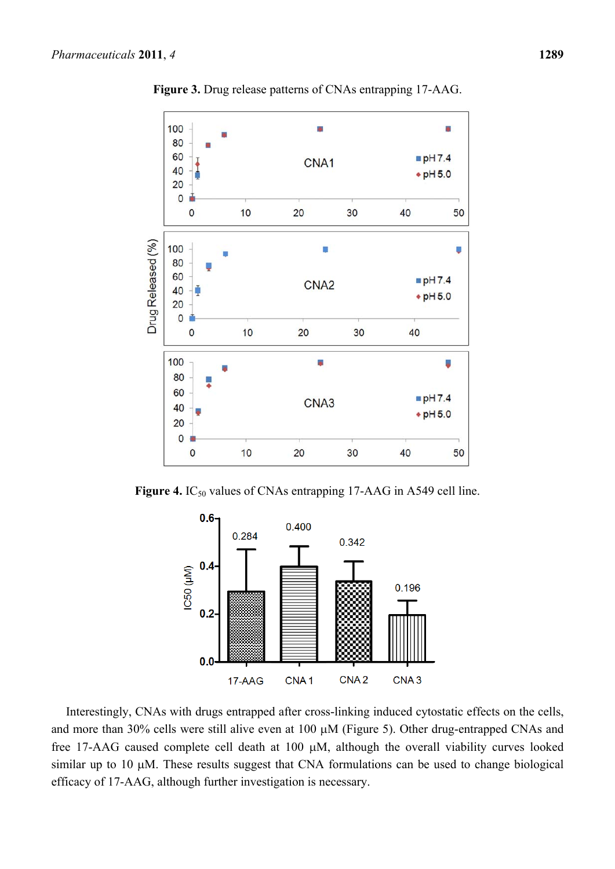

**Figure 3.** Drug release patterns of CNAs entrapping 17-AAG.





Interestingly, CNAs with drugs entrapped after cross-linking induced cytostatic effects on the cells, and more than 30% cells were still alive even at 100 μM (Figure 5). Other drug-entrapped CNAs and free 17-AAG caused complete cell death at 100 μM, although the overall viability curves looked similar up to 10 μM. These results suggest that CNA formulations can be used to change biological efficacy of 17-AAG, although further investigation is necessary.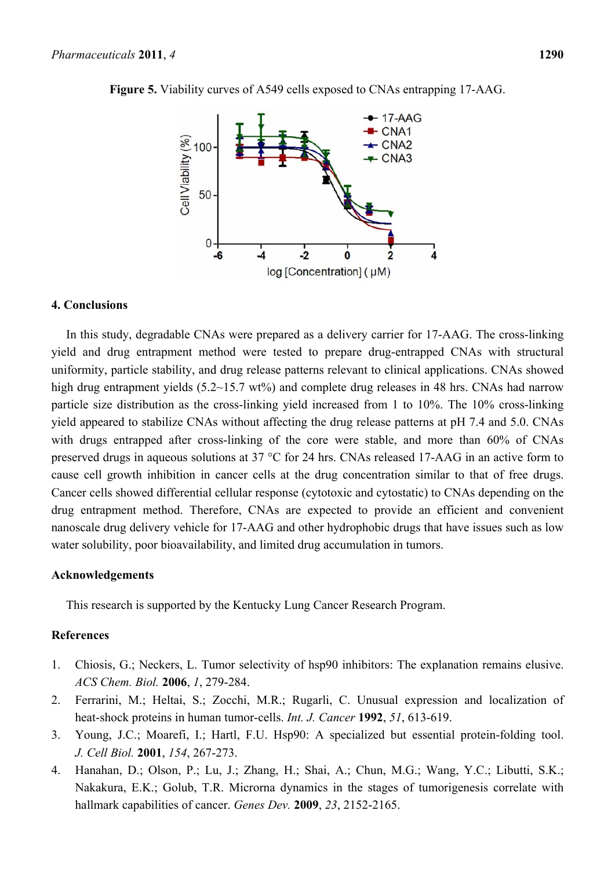

**Figure 5.** Viability curves of A549 cells exposed to CNAs entrapping 17-AAG.

# **4. Conclusions**

In this study, degradable CNAs were prepared as a delivery carrier for 17-AAG. The cross-linking yield and drug entrapment method were tested to prepare drug-entrapped CNAs with structural uniformity, particle stability, and drug release patterns relevant to clinical applications. CNAs showed high drug entrapment yields  $(5.2~15.7 \text{ wt\%})$  and complete drug releases in 48 hrs. CNAs had narrow particle size distribution as the cross-linking yield increased from 1 to 10%. The 10% cross-linking yield appeared to stabilize CNAs without affecting the drug release patterns at pH 7.4 and 5.0. CNAs with drugs entrapped after cross-linking of the core were stable, and more than 60% of CNAs preserved drugs in aqueous solutions at 37 °C for 24 hrs. CNAs released 17-AAG in an active form to cause cell growth inhibition in cancer cells at the drug concentration similar to that of free drugs. Cancer cells showed differential cellular response (cytotoxic and cytostatic) to CNAs depending on the drug entrapment method. Therefore, CNAs are expected to provide an efficient and convenient nanoscale drug delivery vehicle for 17-AAG and other hydrophobic drugs that have issues such as low water solubility, poor bioavailability, and limited drug accumulation in tumors.

# **Acknowledgements**

This research is supported by the Kentucky Lung Cancer Research Program.

# **References**

- 1. Chiosis, G.; Neckers, L. Tumor selectivity of hsp90 inhibitors: The explanation remains elusive. *ACS Chem. Biol.* **2006**, *1*, 279-284.
- 2. Ferrarini, M.; Heltai, S.; Zocchi, M.R.; Rugarli, C. Unusual expression and localization of heat-shock proteins in human tumor-cells. *Int. J. Cancer* **1992**, *51*, 613-619.
- 3. Young, J.C.; Moarefi, I.; Hartl, F.U. Hsp90: A specialized but essential protein-folding tool. *J. Cell Biol.* **2001**, *154*, 267-273.
- 4. Hanahan, D.; Olson, P.; Lu, J.; Zhang, H.; Shai, A.; Chun, M.G.; Wang, Y.C.; Libutti, S.K.; Nakakura, E.K.; Golub, T.R. Microrna dynamics in the stages of tumorigenesis correlate with hallmark capabilities of cancer. *Genes Dev.* **2009**, *23*, 2152-2165.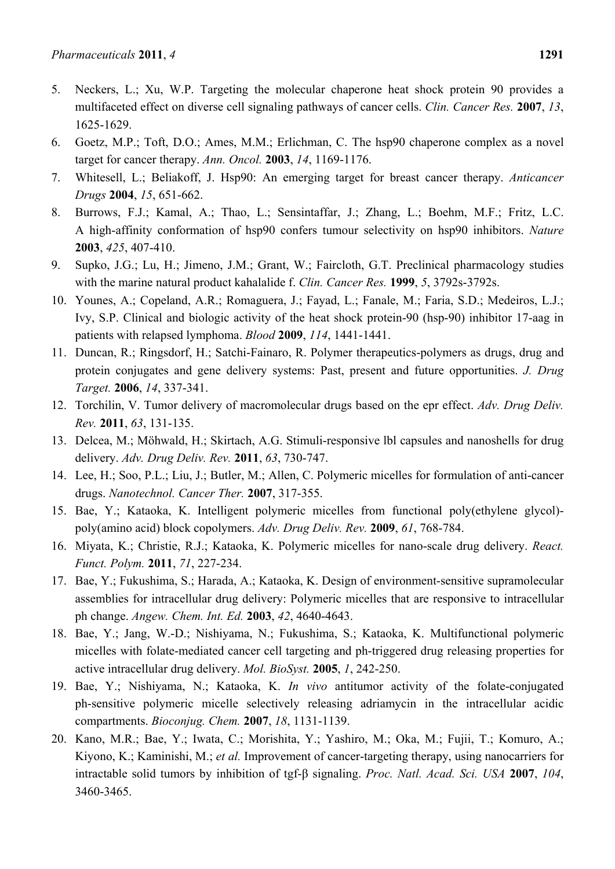- 5. Neckers, L.; Xu, W.P. Targeting the molecular chaperone heat shock protein 90 provides a multifaceted effect on diverse cell signaling pathways of cancer cells. *Clin. Cancer Res.* **2007**, *13*, 1625-1629.
- 6. Goetz, M.P.; Toft, D.O.; Ames, M.M.; Erlichman, C. The hsp90 chaperone complex as a novel target for cancer therapy. *Ann. Oncol.* **2003**, *14*, 1169-1176.
- 7. Whitesell, L.; Beliakoff, J. Hsp90: An emerging target for breast cancer therapy. *Anticancer Drugs* **2004**, *15*, 651-662.
- 8. Burrows, F.J.; Kamal, A.; Thao, L.; Sensintaffar, J.; Zhang, L.; Boehm, M.F.; Fritz, L.C. A high-affinity conformation of hsp90 confers tumour selectivity on hsp90 inhibitors. *Nature*  **2003**, *425*, 407-410.
- 9. Supko, J.G.; Lu, H.; Jimeno, J.M.; Grant, W.; Faircloth, G.T. Preclinical pharmacology studies with the marine natural product kahalalide f. *Clin. Cancer Res.* **1999**, *5*, 3792s-3792s.
- 10. Younes, A.; Copeland, A.R.; Romaguera, J.; Fayad, L.; Fanale, M.; Faria, S.D.; Medeiros, L.J.; Ivy, S.P. Clinical and biologic activity of the heat shock protein-90 (hsp-90) inhibitor 17-aag in patients with relapsed lymphoma. *Blood* **2009**, *114*, 1441-1441.
- 11. Duncan, R.; Ringsdorf, H.; Satchi-Fainaro, R. Polymer therapeutics-polymers as drugs, drug and protein conjugates and gene delivery systems: Past, present and future opportunities. *J. Drug Target.* **2006**, *14*, 337-341.
- 12. Torchilin, V. Tumor delivery of macromolecular drugs based on the epr effect. *Adv. Drug Deliv. Rev.* **2011**, *63*, 131-135.
- 13. Delcea, M.; Möhwald, H.; Skirtach, A.G. Stimuli-responsive lbl capsules and nanoshells for drug delivery. *Adv. Drug Deliv. Rev.* **2011**, *63*, 730-747.
- 14. Lee, H.; Soo, P.L.; Liu, J.; Butler, M.; Allen, C. Polymeric micelles for formulation of anti-cancer drugs. *Nanotechnol. Cancer Ther.* **2007**, 317-355.
- 15. Bae, Y.; Kataoka, K. Intelligent polymeric micelles from functional poly(ethylene glycol) poly(amino acid) block copolymers. *Adv. Drug Deliv. Rev.* **2009**, *61*, 768-784.
- 16. Miyata, K.; Christie, R.J.; Kataoka, K. Polymeric micelles for nano-scale drug delivery. *React. Funct. Polym.* **2011**, *71*, 227-234.
- 17. Bae, Y.; Fukushima, S.; Harada, A.; Kataoka, K. Design of environment-sensitive supramolecular assemblies for intracellular drug delivery: Polymeric micelles that are responsive to intracellular ph change. *Angew. Chem. Int. Ed.* **2003**, *42*, 4640-4643.
- 18. Bae, Y.; Jang, W.-D.; Nishiyama, N.; Fukushima, S.; Kataoka, K. Multifunctional polymeric micelles with folate-mediated cancer cell targeting and ph-triggered drug releasing properties for active intracellular drug delivery. *Mol. BioSyst.* **2005**, *1*, 242-250.
- 19. Bae, Y.; Nishiyama, N.; Kataoka, K. *In vivo* antitumor activity of the folate-conjugated ph-sensitive polymeric micelle selectively releasing adriamycin in the intracellular acidic compartments. *Bioconjug. Chem.* **2007**, *18*, 1131-1139.
- 20. Kano, M.R.; Bae, Y.; Iwata, C.; Morishita, Y.; Yashiro, M.; Oka, M.; Fujii, T.; Komuro, A.; Kiyono, K.; Kaminishi, M.; *et al.* Improvement of cancer-targeting therapy, using nanocarriers for intractable solid tumors by inhibition of tgf-β signaling. *Proc. Natl. Acad. Sci. USA* **2007**, *104*, 3460-3465.